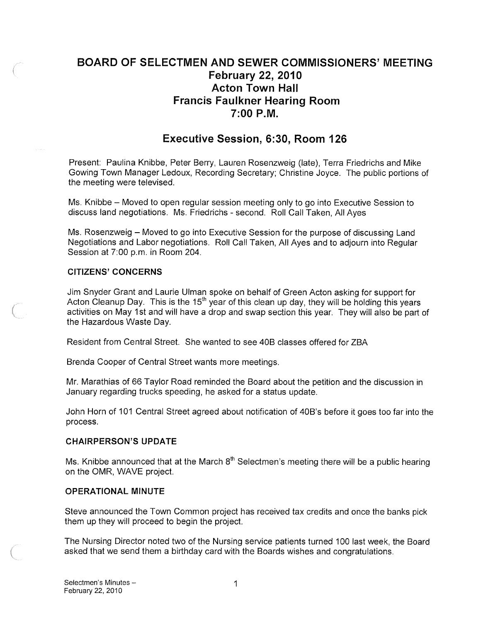# BOARD OF SELECTMEN AND SEWER COMMISSIONERS' MEETING February 22, 2010 Acton Town Hall Francis Faulkner Hearing Room 7:00 P.M.

## Executive Session, 6:30, Room 126

Present: Paulina Knibbe, Peter Berry, Lauren Rosenzweig (late), Terra Friedrichs and Mike Gowing Town Manager Ledoux, Recording Secretary; Christine Joyce. The public portions of the meeting were televised.

Ms. Knibbe — Moved to open regular session meeting only to go into Executive Session to discuss land negotiations. Ms. Friedrichs - second. Roll Call Taken, All Ayes

Ms. Rosenzweig — Moved to go into Executive Session for the purpose of discussing Land Negotiations and Labor negotiations. Roll Call Taken, All Ayes and to adjourn into Regular Session at 7:00 p.m. in Room 204.

#### CITIZENS' CONCERNS

Jim Snyder Grant and Laurie Ulman spoke on behalf of Green Acton asking for support for Acton Cleanup Day. This is the  $15<sup>th</sup>$  year of this clean up day, they will be holding this years activities on May 1St and will have a drop and swap section this year. They will also be part of the Hazardous Waste Day.

Resident from Central Street. She wanted to see 40B classes offered for ZBA

Brenda Cooper of Central Street wants more meetings.

Mr. Marathias of 66 Taylor Road reminded the Board about the petition and the discussion in January regarding trucks speeding, he asked for a status update.

John Horn of 101 Central Street agreed about notification of 40B's before it goes too far into the process.

#### CHAIRPERSON'S UPDATE

Ms. Knibbe announced that at the March  $8<sup>th</sup>$  Selectmen's meeting there will be a public hearing on the OMR, WAVE project.

#### OPERATIONAL MINUTE

Steve announced the Town Common project has received tax credits and once the banks pick them up they will proceed to begin the project.

The Nursing Director noted two of the Nursing service patients turned 100 last week, the Board asked that we send them a birthday card with the Boards wishes and congratulations.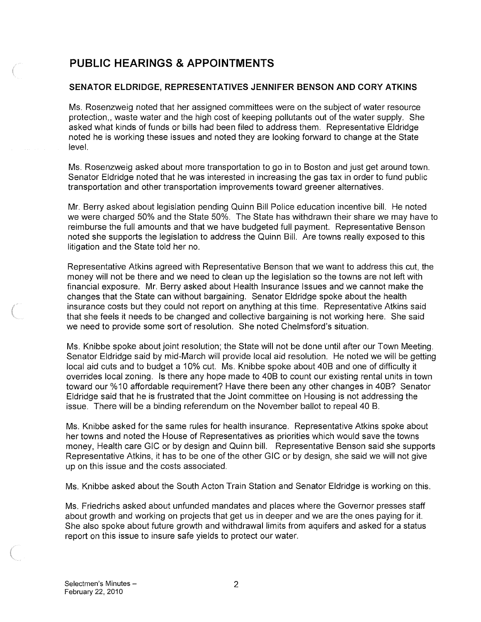# PUBLIC HEARINGS & APPOINTMENTS

### SENATOR ELDRIDGE, REPRESENTATIVES JENNIFER BENSON AND CORY ATKINS

Ms. Rosenzweig noted that her assigned committees were on the subject of water resource protection,, waste water and the high cost of keeping pollutants out of the water supply. She asked what kinds of funds or bills had been filed to address them. Representative Eldridge noted he is working these issues and noted they are looking forward to change at the State level.

Ms. Rosenzweig asked about more transportation to go in to Boston and just get around town. Senator Eldridge noted that he was interested in increasing the gas tax in order to fund public transportation and other transportation improvements toward greener alternatives.

Mr. Berry asked about legislation pending Quinn Bill Police education incentive bill. He noted we were charged 50% and the State 50%. The State has withdrawn their share we may have to reimburse the full amounts and that we have budgeted full payment. Representative Benson noted she supports the legislation to address the Quinn Bill. Are towns really exposed to this litigation and the State told her no.

Representative Atkins agreed with Representative Benson that we want to address this cut, the money will not be there and we need to clean up the legislation so the towns are not left with financial exposure. Mr. Berry asked about Health Insurance Issues and we cannot make the changes that the State can without bargaining. Senator Eldridge spoke about the health insurance costs but they could not report on anything at this time. Representative Atkins said that she feels it needs to be changed and collective bargaining is not working here. She said we need to provide some sort of resolution. She noted Chelmsford's situation.

Ms. Knibbe spoke about joint resolution; the State will not be done until after our Town Meeting. Senator Eldridge said by mid-March will provide local aid resolution. He noted we will be getting local aid cuts and to budget a 10% cut. Ms. Knibbe spoke about 40B and one of difficulty it overrides local zoning. Is there any hope made to 40B to count our existing rental units in town toward our %10 affordable requirement? Have there been any other changes in 40B? Senator Eldridge said that he is frustrated that the Joint committee on Housing is not addressing the issue. There will be a binding referendum on the November ballot to repeal 40 B.

Ms. Knibbe asked for the same rules for health insurance. Representative Atkins spoke about her towns and noted the House of Representatives as priorities which would save the towns money, Health care GIC or by design and Quinn bill. Representative Benson said she supports Representative Atkins, it has to be one of the other GIC or by design, she said we will not give up on this issue and the costs associated.

Ms. Knibbe asked about the South Acton Train Station and Senator Eldridge is working on this.

Ms. Friedrichs asked about unfunded mandates and places where the Governor presses staff about growth and working on projects that get us in deeper and we are the ones paying for it. She also spoke about future growth and withdrawal limits from aquifers and asked for a status report on this issue to insure safe yields to protect our water.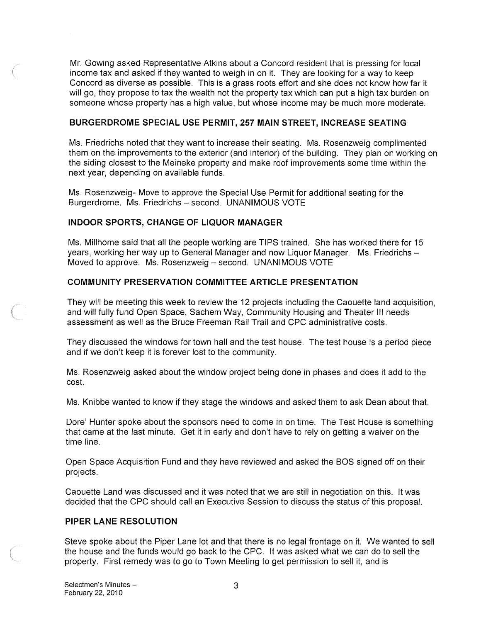Mr. Gowing asked Representative Atkins about a Concord resident that is pressing for local income tax and asked if they wanted to weigh in on it. They are looking for a way to keep Concord as diverse as possible. This is a grass roots effort and she does not know how far it will go, they propose to tax the wealth not the property tax which can put a high tax burden on someone whose property has a high value, but whose income may be much more moderate.

#### BURGERDROME SPECIAL USE PERMIT, 257 MAIN STREET, INCREASE SEATING

Ms. Friedrichs noted that they want to increase their seating. Ms. Rosenzweig complimented them on the improvements to the exterior (and interior) of the building. They plan on working on the siding closest to the Meineke property and make roof improvements some time within the next year, depending on available funds.

Ms. Rosenzweig- Move to approve the Special Use Permit for additional seating for the Burgerdrome. Ms. Friedrichs — second. UNANIMOUS VOTE

### INDOOR SPORTS, CHANGE OF LIQUOR MANAGER

Ms. Millhome said that all the people working are TIPS trained. She has worked there for 15 years, working her way up to General Manager and now Liquor Manager. Ms. Friedrichs — Moved to approve. Ms. Rosenzweig — second. UNANIMOUS VOTE

### COMMUNITY PRESERVATION COMMITTEE ARTICLE PRESENTATION

They will be meeting this week to review the 12 projects including the Caouette land acquisition, and will fully fund Open Space, Sachem Way, Community Housing and Theater III needs assessment as well as the Bruce Freeman Rail Trail and CPC administrative costs.

They discussed the windows for town hall and the test house. The test house is a period piece and if we don't keep it is forever lost to the community.

Ms. Rosenzweig asked about the window project being done in phases and does it add to the cost.

Ms. Knibbe wanted to know if they stage the windows and asked them to ask Dean about that.

Dore' Hunter spoke about the sponsors need to come in on time. The Test House is something that came at the last minute. Get it in early and don't have to rely on getting a waiver on the time line.

Open Space Acquisition Fund and they have reviewed and asked the BOS signed off on their projects.

Caouette Land was discussed and it was noted that we are still in negotiation on this. It was decided that the CPC should call an Executive Session to discuss the status of this proposal.

#### PIPER LANE RESOLUTION

Steve spoke about the Piper Lane lot and that there is no legal frontage on it. We wanted to sell the house and the funds would go back to the CPC. It was asked what we can do to sell the property. First remedy was to go to Town Meeting to get permission to sell it, and is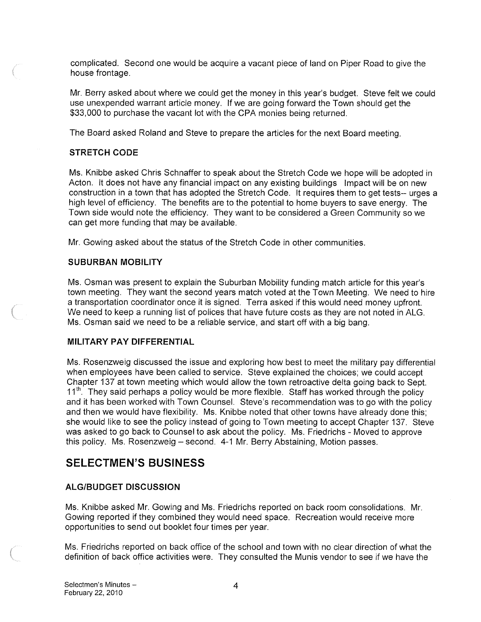complicated. Second one would be acquire a vacant piece of land on Piper Road to give the house frontage.

Mr. Berry asked about where we could get the money in this year's budget. Steve felt we could use unexpended warrant article money. If we are going forward the Town should get the \$33,000 to purchase the vacant lot with the CPA monies being returned.

The Board asked Roland and Steve to prepare the articles for the next Board meeting.

#### STRETCH CODE

Ms. Knibbe asked Chris Schnaffer to speak about the Stretch Code we hope will be adopted in Acton. It does not have any financial impact on any existing buildings Impact will be on new construction in a town that has adopted the Stretch Code. It requires them to get tests-- urges a high level of efficiency. The benefits are to the potential to home buyers to save energy. The Town side would note the efficiency. They want to be considered a Green Community so we can get more funding that may be available.

Mr. Gowing asked about the status of the Stretch Code in other communities.

#### SUBURBAN MOBILITY

Ms. Osman was present to explain the Suburban Mobility funding match article for this year's town meeting. They want the second years match voted at the Town Meeting. We need to hire a transportation coordinator once it is signed. Terra asked if this would need money upfront. We need to keep a running list of polices that have future costs as they are not noted in ALG. Ms. Osman said we need to be a reliable service, and start off with a big bang.

#### MILITARY PAY DIFFERENTIAL

Ms. Rosenzweig discussed the issue and exploring how best to meet the military pay differential when employees have been called to service. Steve explained the choices; we could accept Chapter 137 at town meeting which would allow the town retroactive delta going back to Sept.<br>11<sup>th</sup>. They said perhaps a policy would be more flexible. Staff has worked through the policy and it has been worked with Town Counsel. Steve's recommendation was to go with the policy and then we would have flexibility. Ms. Knibbe noted that other towns have already done this; she would like to see the policy instead of going to Town meeting to accept Chapter 137. Steve was asked to go back to Counsel to ask about the policy. Ms. Friedrichs - Moved to approve this policy. Ms. Rosenzweig — second. 4-1 Mr. Berry Abstaining, Motion passes.

# SELECTMEN'S BUSINESS

## ALGIBUDGET DISCUSSION

Ms. Knibbe asked Mr. Gowing and Ms. Friedrichs reported on back room consolidations. Mr. Gowing reported if they combined they would need space. Recreation would receive more opportunities to send out booklet four times per year.

Ms. Friedrichs reported on back office of the school and town with no clear direction of what the definition of back office activities were. They consulted the Munis vendor to see if we have the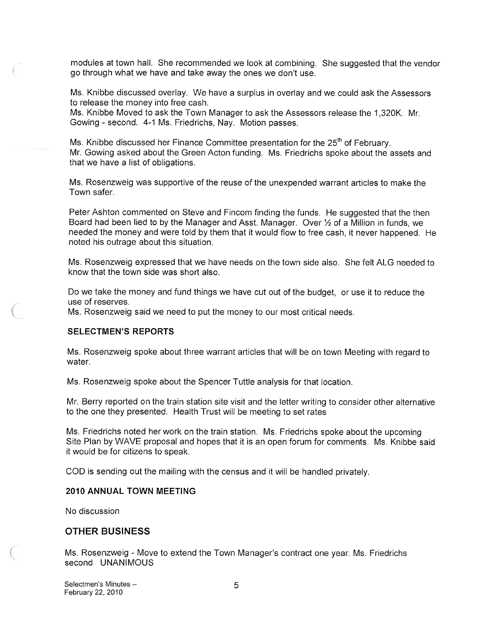modules at town hall. She recommended we look at combining. She suggested that the vendor go through what we have and take away the ones we don't use.

Ms. Knibbe discussed overlay. We have a surplus in overlay and we could ask the Assessors to release the money into free cash.

Ms. Knibbe Moved to ask the Town Manager to ask the Assessors release the 1,320K. Mr. Gowing -second. 4-1 Ms. Friedrichs, Nay. Motion passes.

Ms. Knibbe discussed her Finance Committee presentation for the  $25<sup>th</sup>$  of February. Mr. Gowing asked about the Green Acton funding. Ms. Friedrichs spoke about the assets and that we have a list of obligations.

Ms. Rosenzweig was supportive of the reuse of the unexpended warrant articles to make the Town safer.

Peter Ashton commented on Steve and Fincom finding the funds. He suggested that the then Board had been lied to by the Manager and Asst. Manager. Over 1/2 of a Million in funds, we needed the money and were told by them that it would flow to free cash, it never happened. He noted his outrage about this situation.

Ms. Rosenzweig expressed that we have needs on the town side also. She felt ALG needed to know that the town side was short also.

Do we take the money and fund things we have cut out of the budget, or use it to reduce the use of reserves.

Ms. Rosenzweig said we need to put the money to our most critical needs.

#### SELECTMEN'S REPORTS

Ms. Rosenzweig spoke about three warrant articles that will be on town Meeting with regard to water.

Ms. Rosenzweig spoke about the Spencer Tuttle analysis for that location.

Mr. Berry reported on the train station site visit and the letter writing to consider other alternative to the one they presented. Health Trust will be meeting to set rates

Ms. Friedrichs noted her work on the train station. Ms. Friedrichs spoke about the upcoming Site Plan by WAVE proposal and hopes that it is an open forum for comments. Ms. Knibbe said it would be for citizens to speak.

COD is sending out the mailing with the census and it will be handled privately.

#### 2010 ANNUAL TOWN MEETING

No discussion

#### OTHER BUSINESS

Ms. Rosenzweig - Move to extend the Town Manager's contract one year. Ms. Friedrichs second UNANIMOUS

Selectmen's Minutes — 5 February 22, 2010